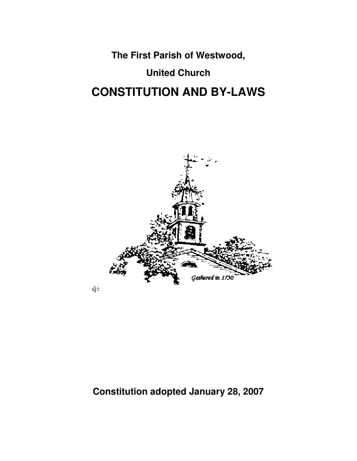**The First Parish of Westwood,** 

# **United Church CONSTITUTION AND BY-LAWS**



## **Constitution adopted January 28, 2007**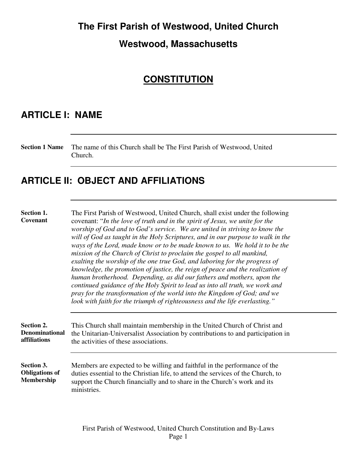#### **The First Parish of Westwood, United Church**

#### **Westwood, Massachusetts**

### **CONSTITUTION**

### **ARTICLE I: NAME**

**Section 1 Name** The name of this Church shall be The First Parish of Westwood, United Church.

### **ARTICLE II: OBJECT AND AFFILIATIONS**

**Section 1. Covenant** 

The First Parish of Westwood, United Church, shall exist under the following covenant: "*In the love of truth and in the spirit of Jesus, we unite for the worship of God and to God's service. We are united in striving to know the will of God as taught in the Holy Scriptures, and in our purpose to walk in the ways of the Lord, made know or to be made known to us. We hold it to be the mission of the Church of Christ to proclaim the gospel to all mankind, exalting the worship of the one true God, and laboring for the progress of knowledge, the promotion of justice, the reign of peace and the realization of human brotherhood. Depending, as did our fathers and mothers, upon the continued guidance of the Holy Spirit to lead us into all truth, we work and pray for the transformation of the world into the Kingdom of God; and we look with faith for the triumph of righteousness and the life everlasting."* 

**Section 2. Denominational affiliations**  This Church shall maintain membership in the United Church of Christ and the Unitarian-Universalist Association by contributions to and participation in the activities of these associations.

**Section 3. Obligations of Membership**  Members are expected to be willing and faithful in the performance of the duties essential to the Christian life, to attend the services of the Church, to support the Church financially and to share in the Church's work and its ministries.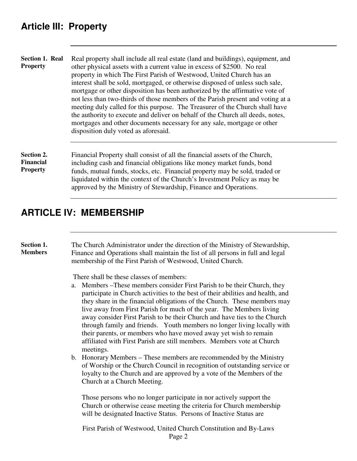**Section 1. Real Property**  Real property shall include all real estate (land and buildings), equipment, and other physical assets with a current value in excess of \$2500. No real property in which The First Parish of Westwood, United Church has an interest shall be sold, mortgaged, or otherwise disposed of unless such sale, mortgage or other disposition has been authorized by the affirmative vote of not less than two-thirds of those members of the Parish present and voting at a meeting duly called for this purpose. The Treasurer of the Church shall have the authority to execute and deliver on behalf of the Church all deeds, notes, mortgages and other documents necessary for any sale, mortgage or other disposition duly voted as aforesaid.

**Section 2. Financial** 

**Property** 

Financial Property shall consist of all the financial assets of the Church, including cash and financial obligations like money market funds, bond funds, mutual funds, stocks, etc. Financial property may be sold, traded or liquidated within the context of the Church's Investment Policy as may be approved by the Ministry of Stewardship, Finance and Operations.

## **ARTICLE IV: MEMBERSHIP**

**Section 1. Members**  The Church Administrator under the direction of the Ministry of Stewardship, Finance and Operations shall maintain the list of all persons in full and legal membership of the First Parish of Westwood, United Church.

There shall be these classes of members:

- a. Members –These members consider First Parish to be their Church, they participate in Church activities to the best of their abilities and health, and they share in the financial obligations of the Church. These members may live away from First Parish for much of the year. The Members living away consider First Parish to be their Church and have ties to the Church through family and friends. Youth members no longer living locally with their parents, or members who have moved away yet wish to remain affiliated with First Parish are still members. Members vote at Church meetings.
- b. Honorary Members These members are recommended by the Ministry of Worship or the Church Council in recognition of outstanding service or loyalty to the Church and are approved by a vote of the Members of the Church at a Church Meeting.

Those persons who no longer participate in nor actively support the Church or otherwise cease meeting the criteria for Church membership will be designated Inactive Status. Persons of Inactive Status are

First Parish of Westwood, United Church Constitution and By-Laws Page 2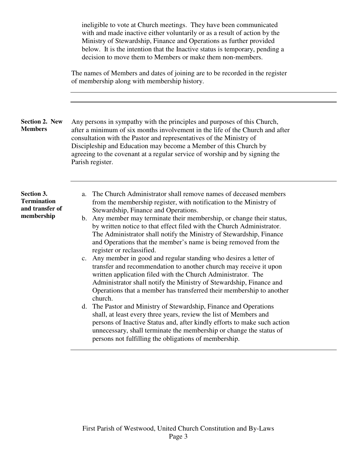ineligible to vote at Church meetings. They have been communicated with and made inactive either voluntarily or as a result of action by the Ministry of Stewardship, Finance and Operations as further provided below. It is the intention that the Inactive status is temporary, pending a decision to move them to Members or make them non-members. The names of Members and dates of joining are to be recorded in the register of membership along with membership history. **Section 2. New Members**  Any persons in sympathy with the principles and purposes of this Church, after a minimum of six months involvement in the life of the Church and after consultation with the Pastor and representatives of the Ministry of Discipleship and Education may become a Member of this Church by agreeing to the covenant at a regular service of worship and by signing the Parish register. **Section 3. Termination and transfer of membership**  a. The Church Administrator shall remove names of deceased members from the membership register, with notification to the Ministry of Stewardship, Finance and Operations. b. Any member may terminate their membership, or change their status, by written notice to that effect filed with the Church Administrator. The Administrator shall notify the Ministry of Stewardship, Finance and Operations that the member's name is being removed from the register or reclassified. c. Any member in good and regular standing who desires a letter of transfer and recommendation to another church may receive it upon written application filed with the Church Administrator. The Administrator shall notify the Ministry of Stewardship, Finance and Operations that a member has transferred their membership to another church. d. The Pastor and Ministry of Stewardship, Finance and Operations shall, at least every three years, review the list of Members and persons of Inactive Status and, after kindly efforts to make such action unnecessary, shall terminate the membership or change the status of persons not fulfilling the obligations of membership.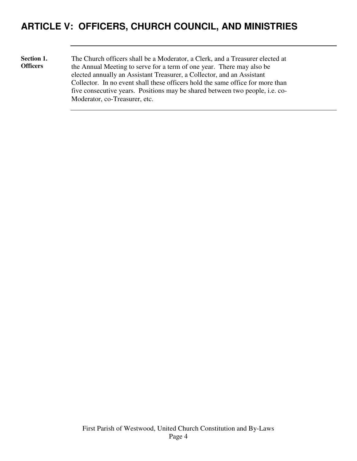## **ARTICLE V: OFFICERS, CHURCH COUNCIL, AND MINISTRIES**

**Section 1. Officers**  The Church officers shall be a Moderator, a Clerk, and a Treasurer elected at the Annual Meeting to serve for a term of one year. There may also be elected annually an Assistant Treasurer, a Collector, and an Assistant Collector. In no event shall these officers hold the same office for more than five consecutive years. Positions may be shared between two people, i.e. co-Moderator, co-Treasurer, etc.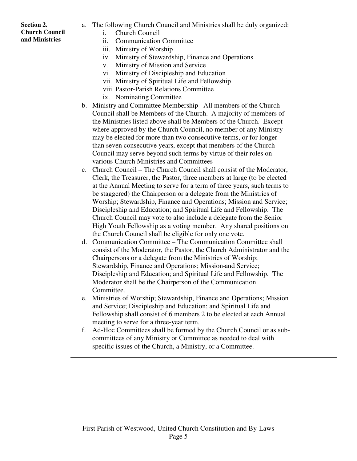#### **Section 2. Church Council and Ministries**

- a. The following Church Council and Ministries shall be duly organized:
	- i. Church Council
	- ii. Communication Committee
	- iii. Ministry of Worship
	- iv. Ministry of Stewardship, Finance and Operations
	- v. Ministry of Mission and Service
	- vi. Ministry of Discipleship and Education
	- vii. Ministry of Spiritual Life and Fellowship
	- viii. Pastor-Parish Relations Committee
	- ix. Nominating Committee
- b. Ministry and Committee Membership –All members of the Church Council shall be Members of the Church. A majority of members of the Ministries listed above shall be Members of the Church. Except where approved by the Church Council, no member of any Ministry may be elected for more than two consecutive terms, or for longer than seven consecutive years, except that members of the Church Council may serve beyond such terms by virtue of their roles on various Church Ministries and Committees
- c. Church Council The Church Council shall consist of the Moderator, Clerk, the Treasurer, the Pastor, three members at large (to be elected at the Annual Meeting to serve for a term of three years, such terms to be staggered) the Chairperson or a delegate from the Ministries of Worship; Stewardship, Finance and Operations; Mission and Service; Discipleship and Education; and Spiritual Life and Fellowship. The Church Council may vote to also include a delegate from the Senior High Youth Fellowship as a voting member. Any shared positions on the Church Council shall be eligible for only one vote.
- d. Communication Committee The Communication Committee shall consist of the Moderator, the Pastor, the Church Administrator and the Chairpersons or a delegate from the Ministries of Worship; Stewardship, Finance and Operations; Mission and Service; Discipleship and Education; and Spiritual Life and Fellowship. The Moderator shall be the Chairperson of the Communication Committee.
- e. Ministries of Worship; Stewardship, Finance and Operations; Mission and Service; Discipleship and Education; and Spiritual Life and Fellowship shall consist of 6 members 2 to be elected at each Annual meeting to serve for a three-year term.
- f. Ad-Hoc Committees shall be formed by the Church Council or as subcommittees of any Ministry or Committee as needed to deal with specific issues of the Church, a Ministry, or a Committee.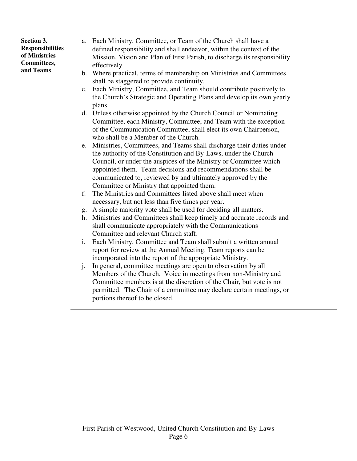**Section 3. Responsibilities of Ministries Committees, and Teams** 

- a. Each Ministry, Committee, or Team of the Church shall have a defined responsibility and shall endeavor, within the context of the Mission, Vision and Plan of First Parish, to discharge its responsibility effectively.
- b. Where practical, terms of membership on Ministries and Committees shall be staggered to provide continuity.
- c. Each Ministry, Committee, and Team should contribute positively to the Church's Strategic and Operating Plans and develop its own yearly plans.
- d. Unless otherwise appointed by the Church Council or Nominating Committee, each Ministry, Committee, and Team with the exception of the Communication Committee, shall elect its own Chairperson, who shall be a Member of the Church.
- e. Ministries, Committees, and Teams shall discharge their duties under the authority of the Constitution and By-Laws, under the Church Council, or under the auspices of the Ministry or Committee which appointed them. Team decisions and recommendations shall be communicated to, reviewed by and ultimately approved by the Committee or Ministry that appointed them.
- f. The Ministries and Committees listed above shall meet when necessary, but not less than five times per year.
- g. A simple majority vote shall be used for deciding all matters.
- h. Ministries and Committees shall keep timely and accurate records and shall communicate appropriately with the Communications Committee and relevant Church staff.
- i. Each Ministry, Committee and Team shall submit a written annual report for review at the Annual Meeting. Team reports can be incorporated into the report of the appropriate Ministry.
- j. In general, committee meetings are open to observation by all Members of the Church. Voice in meetings from non-Ministry and Committee members is at the discretion of the Chair, but vote is not permitted. The Chair of a committee may declare certain meetings, or portions thereof to be closed.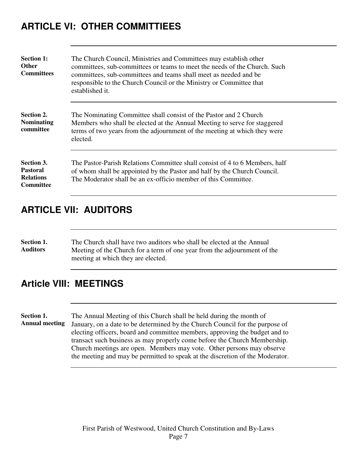## **ARTICLE VI: OTHER COMMITTIEES**

| <b>Section 1:</b><br><b>Other</b><br><b>Committees</b>                | The Church Council, Ministries and Committees may establish other<br>committees, sub-committees or teams to meet the needs of the Church. Such<br>committees, sub-committees and teams shall meet as needed and be<br>responsible to the Church Council or the Ministry or Committee that<br>established it. |
|-----------------------------------------------------------------------|--------------------------------------------------------------------------------------------------------------------------------------------------------------------------------------------------------------------------------------------------------------------------------------------------------------|
| Section 2.<br><b>Nominating</b><br>committee                          | The Nominating Committee shall consist of the Pastor and 2 Church<br>Members who shall be elected at the Annual Meeting to serve for staggered<br>terms of two years from the adjournment of the meeting at which they were<br>elected.                                                                      |
| Section 3.<br><b>Pastoral</b><br><b>Relations</b><br><b>Committee</b> | The Pastor-Parish Relations Committee shall consist of 4 to 6 Members, half<br>of whom shall be appointed by the Pastor and half by the Church Council.<br>The Moderator shall be an ex-officio member of this Committee.                                                                                    |

## **ARTICLE VII: AUDITORS**

**Section 1. Auditors**  The Church shall have two auditors who shall be elected at the Annual Meeting of the Church for a term of one year from the adjournment of the meeting at which they are elected.

### **Article VIII: MEETINGS**

**Section 1. Annual meeting** 

The Annual Meeting of this Church shall be held during the month of January, on a date to be determined by the Church Council for the purpose of electing officers, board and committee members, approving the budget and to transact such business as may properly come before the Church Membership. Church meetings are open. Members may vote. Other persons may observe the meeting and may be permitted to speak at the discretion of the Moderator.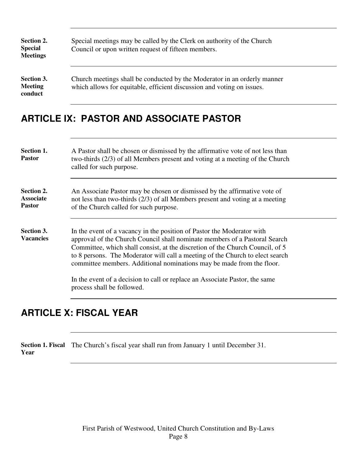| Section 2.<br><b>Special</b><br><b>Meetings</b> | Special meetings may be called by the Clerk on authority of the Church<br>Council or upon written request of fifteen members.                      |
|-------------------------------------------------|----------------------------------------------------------------------------------------------------------------------------------------------------|
| Section 3.<br><b>Meeting</b><br>conduct         | Church meetings shall be conducted by the Moderator in an orderly manner<br>which allows for equitable, efficient discussion and voting on issues. |

### **ARTICLE IX: PASTOR AND ASSOCIATE PASTOR**

| Section 1.<br><b>Pastor</b>                     | A Pastor shall be chosen or dismissed by the affirmative vote of not less than<br>two-thirds (2/3) of all Members present and voting at a meeting of the Church<br>called for such purpose.                                                                                                                                                                                                     |
|-------------------------------------------------|-------------------------------------------------------------------------------------------------------------------------------------------------------------------------------------------------------------------------------------------------------------------------------------------------------------------------------------------------------------------------------------------------|
| Section 2.<br><b>Associate</b><br><b>Pastor</b> | An Associate Pastor may be chosen or dismissed by the affirmative vote of<br>not less than two-thirds $(2/3)$ of all Members present and voting at a meeting<br>of the Church called for such purpose.                                                                                                                                                                                          |
| Section 3.<br><b>Vacancies</b>                  | In the event of a vacancy in the position of Pastor the Moderator with<br>approval of the Church Council shall nominate members of a Pastoral Search<br>Committee, which shall consist, at the discretion of the Church Council, of 5<br>to 8 persons. The Moderator will call a meeting of the Church to elect search<br>committee members. Additional nominations may be made from the floor. |
|                                                 | In the event of a decision to call or replace an Associate Pastor, the same<br>process shall be followed.                                                                                                                                                                                                                                                                                       |

## **ARTICLE X: FISCAL YEAR**

**Section 1. Fiscal**  The Church's fiscal year shall run from January 1 until December 31. **Year**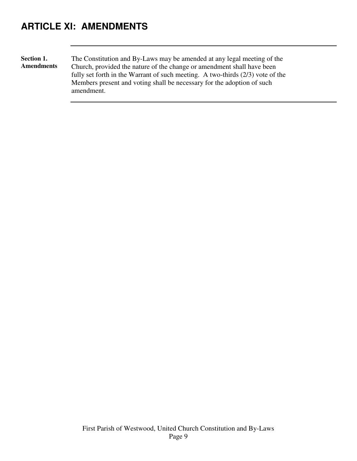## **ARTICLE XI: AMENDMENTS**

**Section 1. Amendments**  The Constitution and By-Laws may be amended at any legal meeting of the Church, provided the nature of the change or amendment shall have been fully set forth in the Warrant of such meeting. A two-thirds (2/3) vote of the Members present and voting shall be necessary for the adoption of such amendment.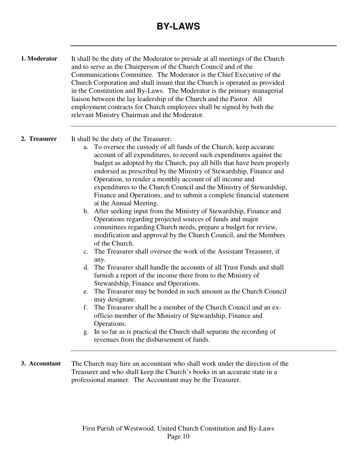## **BY-LAWS**

**1. Moderator** It shall be the duty of the Moderator to preside at all meetings of the Church and to serve as the Chairperson of the Church Council and of the Communications Committee. The Moderator is the Chief Executive of the Church Corporation and shall insure that the Church is operated as provided in the Constitution and By-Laws. The Moderator is the primary managerial liaison between the lay leadership of the Church and the Pastor. All employment contracts for Church employees shall be signed by both the relevant Ministry Chairman and the Moderator.

- **2. Treasurer** It shall be the duty of the Treasurer:
	- a. To oversee the custody of all funds of the Church, keep accurate account of all expenditures, to record such expenditures against the budget as adopted by the Church, pay all bills that have been properly endorsed as prescribed by the Ministry of Stewardship, Finance and Operation, to render a monthly account of all income and expenditures to the Church Council and the Ministry of Stewardship, Finance and Operations, and to submit a complete financial statement at the Annual Meeting.
	- b. After seeking input from the Ministry of Stewardship, Finance and Operations regarding projected sources of funds and major committees regarding Church needs, prepare a budget for review, modification and approval by the Church Council, and the Members of the Church.
	- c. The Treasurer shall oversee the work of the Assistant Treasurer, if any.
	- d. The Treasurer shall handle the accounts of all Trust Funds and shall furnish a report of the income there from to the Ministry of Stewardship, Finance and Operations.
	- e. The Treasurer may be bonded in such amount as the Church Council may designate.
	- f. The Treasurer shall be a member of the Church Council and an exofficio member of the Ministry of Stewardship, Finance and Operations.
	- g. In so far as is practical the Church shall separate the recording of revenues from the disbursement of funds.

**3. Accountant** The Church may hire an accountant who shall work under the direction of the Treasurer and who shall keep the Church's books in an accurate state in a professional manner. The Accountant may be the Treasurer.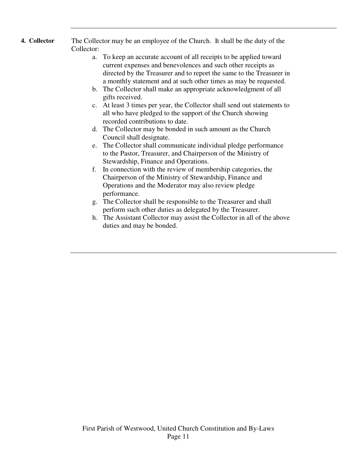- **4. Collector** The Collector may be an employee of the Church. It shall be the duty of the Collector:
	- a. To keep an accurate account of all receipts to be applied toward current expenses and benevolences and such other receipts as directed by the Treasurer and to report the same to the Treasurer in a monthly statement and at such other times as may be requested.
	- b. The Collector shall make an appropriate acknowledgment of all gifts received.
	- c. At least 3 times per year, the Collector shall send out statements to all who have pledged to the support of the Church showing recorded contributions to date.
	- d. The Collector may be bonded in such amount as the Church Council shall designate.
	- e. The Collector shall communicate individual pledge performance to the Pastor, Treasurer, and Chairperson of the Ministry of Stewardship, Finance and Operations.
	- f. In connection with the review of membership categories, the Chairperson of the Ministry of Stewardship, Finance and Operations and the Moderator may also review pledge performance.
	- g. The Collector shall be responsible to the Treasurer and shall perform such other duties as delegated by the Treasurer.
	- h. The Assistant Collector may assist the Collector in all of the above duties and may be bonded.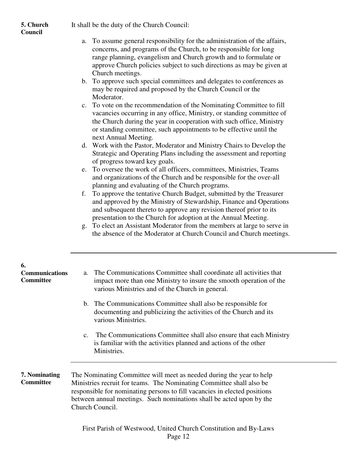It shall be the duty of the Church Council:

#### **5. Church Council**

- a. To assume general responsibility for the administration of the affairs, concerns, and programs of the Church, to be responsible for long range planning, evangelism and Church growth and to formulate or approve Church policies subject to such directions as may be given at Church meetings.
- b. To approve such special committees and delegates to conferences as may be required and proposed by the Church Council or the Moderator.
- c. To vote on the recommendation of the Nominating Committee to fill vacancies occurring in any office, Ministry, or standing committee of the Church during the year in cooperation with such office, Ministry or standing committee, such appointments to be effective until the next Annual Meeting.
- d. Work with the Pastor, Moderator and Ministry Chairs to Develop the Strategic and Operating Plans including the assessment and reporting of progress toward key goals.
- e. To oversee the work of all officers, committees, Ministries, Teams and organizations of the Church and be responsible for the over-all planning and evaluating of the Church programs.
- f. To approve the tentative Church Budget, submitted by the Treasurer and approved by the Ministry of Stewardship, Finance and Operations and subsequent thereto to approve any revision thereof prior to its presentation to the Church for adoption at the Annual Meeting.
- g. To elect an Assistant Moderator from the members at large to serve in the absence of the Moderator at Church Council and Church meetings.

| 6.<br><b>Communications</b><br><b>Committee</b> | a. The Communications Committee shall coordinate all activities that<br>impact more than one Ministry to insure the smooth operation of the<br>various Ministries and of the Church in general.                                                                                                                      |
|-------------------------------------------------|----------------------------------------------------------------------------------------------------------------------------------------------------------------------------------------------------------------------------------------------------------------------------------------------------------------------|
|                                                 | b. The Communications Committee shall also be responsible for<br>documenting and publicizing the activities of the Church and its<br>various Ministries.                                                                                                                                                             |
|                                                 | The Communications Committee shall also ensure that each Ministry<br>$C_{\cdot}$<br>is familiar with the activities planned and actions of the other<br>Ministries.                                                                                                                                                  |
| 7. Nominating<br><b>Committee</b>               | The Nominating Committee will meet as needed during the year to help<br>Ministries recruit for teams. The Nominating Committee shall also be<br>responsible for nominating persons to fill vacancies in elected positions<br>between annual meetings. Such nominations shall be acted upon by the<br>Church Council. |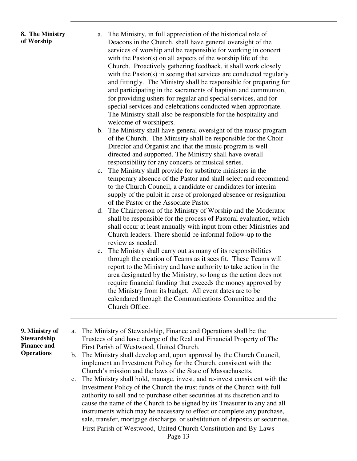#### **8. The Ministry of Worship**

- a. The Ministry, in full appreciation of the historical role of Deacons in the Church, shall have general oversight of the services of worship and be responsible for working in concert with the Pastor(s) on all aspects of the worship life of the Church. Proactively gathering feedback, it shall work closely with the Pastor(s) in seeing that services are conducted regularly and fittingly. The Ministry shall be responsible for preparing for and participating in the sacraments of baptism and communion, for providing ushers for regular and special services, and for special services and celebrations conducted when appropriate. The Ministry shall also be responsible for the hospitality and welcome of worshipers.
- b. The Ministry shall have general oversight of the music program of the Church. The Ministry shall be responsible for the Choir Director and Organist and that the music program is well directed and supported. The Ministry shall have overall responsibility for any concerts or musical series.
- c. The Ministry shall provide for substitute ministers in the temporary absence of the Pastor and shall select and recommend to the Church Council, a candidate or candidates for interim supply of the pulpit in case of prolonged absence or resignation of the Pastor or the Associate Pastor
- d. The Chairperson of the Ministry of Worship and the Moderator shall be responsible for the process of Pastoral evaluation, which shall occur at least annually with input from other Ministries and Church leaders. There should be informal follow-up to the review as needed.
- e. The Ministry shall carry out as many of its responsibilities through the creation of Teams as it sees fit. These Teams will report to the Ministry and have authority to take action in the area designated by the Ministry, so long as the action does not require financial funding that exceeds the money approved by the Ministry from its budget. All event dates are to be calendared through the Communications Committee and the Church Office.

**9. Ministry of Stewardship Finance and Operations** 

- a. The Ministry of Stewardship, Finance and Operations shall be the Trustees of and have charge of the Real and Financial Property of The First Parish of Westwood, United Church.
	- b. The Ministry shall develop and, upon approval by the Church Council, implement an Investment Policy for the Church, consistent with the Church's mission and the laws of the State of Massachusetts.
- First Parish of Westwood, United Church Constitution and By-Laws c. The Ministry shall hold, manage, invest, and re-invest consistent with the Investment Policy of the Church the trust funds of the Church with full authority to sell and to purchase other securities at its discretion and to cause the name of the Church to be signed by its Treasurer to any and all instruments which may be necessary to effect or complete any purchase, sale, transfer, mortgage discharge, or substitution of deposits or securities.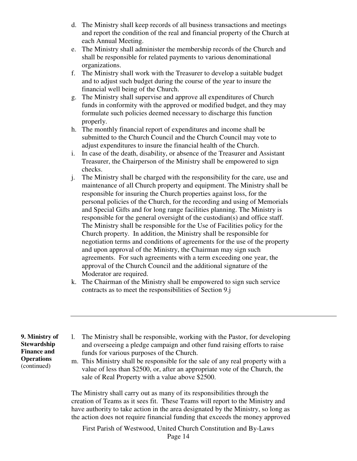- d. The Ministry shall keep records of all business transactions and meetings and report the condition of the real and financial property of the Church at each Annual Meeting.
- e. The Ministry shall administer the membership records of the Church and shall be responsible for related payments to various denominational organizations.
- f. The Ministry shall work with the Treasurer to develop a suitable budget and to adjust such budget during the course of the year to insure the financial well being of the Church.
- g. The Ministry shall supervise and approve all expenditures of Church funds in conformity with the approved or modified budget, and they may formulate such policies deemed necessary to discharge this function properly.
- h. The monthly financial report of expenditures and income shall be submitted to the Church Council and the Church Council may vote to adjust expenditures to insure the financial health of the Church.
- i. In case of the death, disability, or absence of the Treasurer and Assistant Treasurer, the Chairperson of the Ministry shall be empowered to sign checks.
- j. The Ministry shall be charged with the responsibility for the care, use and maintenance of all Church property and equipment. The Ministry shall be responsible for insuring the Church properties against loss, for the personal policies of the Church, for the recording and using of Memorials and Special Gifts and for long range facilities planning. The Ministry is responsible for the general oversight of the custodian(s) and office staff. The Ministry shall be responsible for the Use of Facilities policy for the Church property. In addition, the Ministry shall be responsible for negotiation terms and conditions of agreements for the use of the property and upon approval of the Ministry, the Chairman may sign such agreements. For such agreements with a term exceeding one year, the approval of the Church Council and the additional signature of the Moderator are required.
- k. The Chairman of the Ministry shall be empowered to sign such service contracts as to meet the responsibilities of Section 9.j

**9. Ministry of Stewardship Finance and Operations**  (continued)

- l. The Ministry shall be responsible, working with the Pastor, for developing and overseeing a pledge campaign and other fund raising efforts to raise funds for various purposes of the Church.
- m. This Ministry shall be responsible for the sale of any real property with a value of less than \$2500, or, after an appropriate vote of the Church, the sale of Real Property with a value above \$2500.

The Ministry shall carry out as many of its responsibilities through the creation of Teams as it sees fit. These Teams will report to the Ministry and have authority to take action in the area designated by the Ministry, so long as the action does not require financial funding that exceeds the money approved

First Parish of Westwood, United Church Constitution and By-Laws Page 14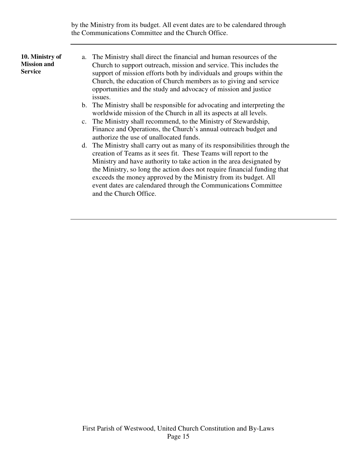by the Ministry from its budget. All event dates are to be calendared through the Communications Committee and the Church Office.

#### **10. Ministry of Mission and Service**

- a. The Ministry shall direct the financial and human resources of the Church to support outreach, mission and service. This includes the support of mission efforts both by individuals and groups within the Church, the education of Church members as to giving and service opportunities and the study and advocacy of mission and justice issues.
	- b. The Ministry shall be responsible for advocating and interpreting the worldwide mission of the Church in all its aspects at all levels.
	- c. The Ministry shall recommend, to the Ministry of Stewardship, Finance and Operations, the Church's annual outreach budget and authorize the use of unallocated funds.
	- d. The Ministry shall carry out as many of its responsibilities through the creation of Teams as it sees fit. These Teams will report to the Ministry and have authority to take action in the area designated by the Ministry, so long the action does not require financial funding that exceeds the money approved by the Ministry from its budget. All event dates are calendared through the Communications Committee and the Church Office.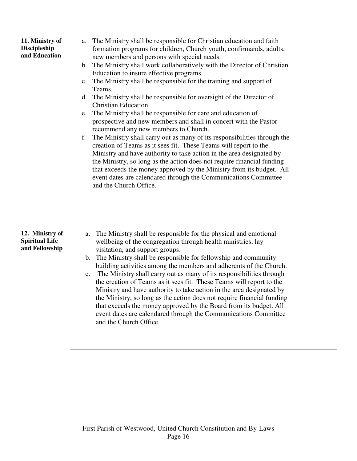**11. Ministry of Discipleship and Education** 

- a. The Ministry shall be responsible for Christian education and faith formation programs for children, Church youth, confirmands, adults, new members and persons with special needs.
- b. The Ministry shall work collaboratively with the Director of Christian Education to insure effective programs.
- c. The Ministry shall be responsible for the training and support of Teams.
- d. The Ministry shall be responsible for oversight of the Director of Christian Education.
- e. The Ministry shall be responsible for care and education of prospective and new members and shall in concert with the Pastor recommend any new members to Church.
- f. The Ministry shall carry out as many of its responsibilities through the creation of Teams as it sees fit. These Teams will report to the Ministry and have authority to take action in the area designated by the Ministry, so long as the action does not require financial funding that exceeds the money approved by the Ministry from its budget. All event dates are calendared through the Communications Committee and the Church Office.

**12. Ministry of Spiritual Life and Fellowship** 

- a. The Ministry shall be responsible for the physical and emotional wellbeing of the congregation through health ministries, lay visitation, and support groups.
- b. The Ministry shall be responsible for fellowship and community building activities among the members and adherents of the Church.
- c. The Ministry shall carry out as many of its responsibilities through the creation of Teams as it sees fit. These Teams will report to the Ministry and have authority to take action in the area designated by the Ministry, so long as the action does not require financial funding that exceeds the money approved by the Board from its budget. All event dates are calendared through the Communications Committee and the Church Office.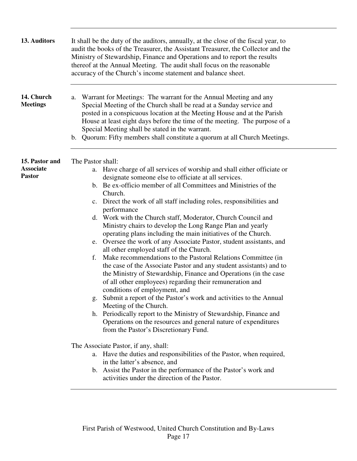| 13. Auditors                                        | It shall be the duty of the auditors, annually, at the close of the fiscal year, to<br>audit the books of the Treasurer, the Assistant Treasurer, the Collector and the<br>Ministry of Stewardship, Finance and Operations and to report the results<br>thereof at the Annual Meeting. The audit shall focus on the reasonable<br>accuracy of the Church's income statement and balance sheet.                                                                                                                                                                                                                                                                                                                                                                                                                                                                                                                                                                                                                                                                                                                                                                                                                                               |
|-----------------------------------------------------|----------------------------------------------------------------------------------------------------------------------------------------------------------------------------------------------------------------------------------------------------------------------------------------------------------------------------------------------------------------------------------------------------------------------------------------------------------------------------------------------------------------------------------------------------------------------------------------------------------------------------------------------------------------------------------------------------------------------------------------------------------------------------------------------------------------------------------------------------------------------------------------------------------------------------------------------------------------------------------------------------------------------------------------------------------------------------------------------------------------------------------------------------------------------------------------------------------------------------------------------|
| 14. Church<br><b>Meetings</b>                       | Warrant for Meetings: The warrant for the Annual Meeting and any<br>a.<br>Special Meeting of the Church shall be read at a Sunday service and<br>posted in a conspicuous location at the Meeting House and at the Parish<br>House at least eight days before the time of the meeting. The purpose of a<br>Special Meeting shall be stated in the warrant.<br>b. Quorum: Fifty members shall constitute a quorum at all Church Meetings.                                                                                                                                                                                                                                                                                                                                                                                                                                                                                                                                                                                                                                                                                                                                                                                                      |
| 15. Pastor and<br><b>Associate</b><br><b>Pastor</b> | The Pastor shall:<br>Have charge of all services of worship and shall either officiate or<br>a.<br>designate someone else to officiate at all services.<br>b. Be ex-officio member of all Committees and Ministries of the<br>Church.<br>c. Direct the work of all staff including roles, responsibilities and<br>performance<br>d. Work with the Church staff, Moderator, Church Council and<br>Ministry chairs to develop the Long Range Plan and yearly<br>operating plans including the main initiatives of the Church.<br>e. Oversee the work of any Associate Pastor, student assistants, and<br>all other employed staff of the Church.<br>Make recommendations to the Pastoral Relations Committee (in<br>f.<br>the case of the Associate Pastor and any student assistants) and to<br>the Ministry of Stewardship, Finance and Operations (in the case<br>of all other employees) regarding their remuneration and<br>conditions of employment, and<br>Submit a report of the Pastor's work and activities to the Annual<br>Meeting of the Church.<br>h. Periodically report to the Ministry of Stewardship, Finance and<br>Operations on the resources and general nature of expenditures<br>from the Pastor's Discretionary Fund. |
|                                                     | The Associate Pastor, if any, shall:<br>a. Have the duties and responsibilities of the Pastor, when required,<br>in the latter's absence, and<br>b. Assist the Pastor in the performance of the Pastor's work and<br>activities under the direction of the Pastor.                                                                                                                                                                                                                                                                                                                                                                                                                                                                                                                                                                                                                                                                                                                                                                                                                                                                                                                                                                           |